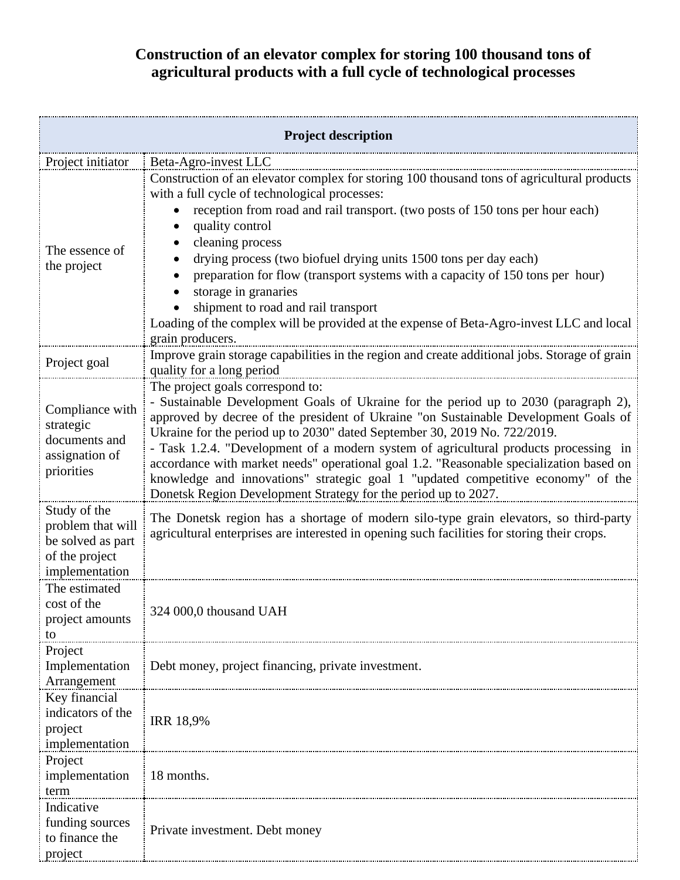## **Construction of an elevator complex for storing 100 thousand tons of agricultural products with a full cycle of technological processes**

| <b>Project description</b>                                                                 |                                                                                                                                                                                                                                                                                                                                                                                                                                                                                                                                                                                                                                      |  |
|--------------------------------------------------------------------------------------------|--------------------------------------------------------------------------------------------------------------------------------------------------------------------------------------------------------------------------------------------------------------------------------------------------------------------------------------------------------------------------------------------------------------------------------------------------------------------------------------------------------------------------------------------------------------------------------------------------------------------------------------|--|
| Project initiator                                                                          | Beta-Agro-invest LLC                                                                                                                                                                                                                                                                                                                                                                                                                                                                                                                                                                                                                 |  |
| The essence of<br>the project                                                              | Construction of an elevator complex for storing 100 thousand tons of agricultural products<br>with a full cycle of technological processes:<br>reception from road and rail transport. (two posts of 150 tons per hour each)<br>quality control<br>cleaning process<br>drying process (two biofuel drying units 1500 tons per day each)<br>preparation for flow (transport systems with a capacity of 150 tons per hour)<br>storage in granaries<br>shipment to road and rail transport<br>Loading of the complex will be provided at the expense of Beta-Agro-invest LLC and local<br>grain producers.                              |  |
| Project goal                                                                               | Improve grain storage capabilities in the region and create additional jobs. Storage of grain<br>quality for a long period                                                                                                                                                                                                                                                                                                                                                                                                                                                                                                           |  |
| Compliance with<br>strategic<br>documents and<br>assignation of<br>priorities              | The project goals correspond to:<br>- Sustainable Development Goals of Ukraine for the period up to 2030 (paragraph 2),<br>approved by decree of the president of Ukraine "on Sustainable Development Goals of<br>Ukraine for the period up to 2030" dated September 30, 2019 No. 722/2019.<br>- Task 1.2.4. "Development of a modern system of agricultural products processing in<br>accordance with market needs" operational goal 1.2. "Reasonable specialization based on<br>knowledge and innovations" strategic goal 1 "updated competitive economy" of the<br>Donetsk Region Development Strategy for the period up to 2027. |  |
| Study of the<br>problem that will<br>be solved as part<br>of the project<br>implementation | The Donetsk region has a shortage of modern silo-type grain elevators, so third-party<br>agricultural enterprises are interested in opening such facilities for storing their crops.                                                                                                                                                                                                                                                                                                                                                                                                                                                 |  |
| The estimated<br>cost of the<br>project amounts<br>to                                      | 324 000,0 thousand UAH                                                                                                                                                                                                                                                                                                                                                                                                                                                                                                                                                                                                               |  |
| Project<br>Implementation<br>Arrangement                                                   | Debt money, project financing, private investment.                                                                                                                                                                                                                                                                                                                                                                                                                                                                                                                                                                                   |  |
| Key financial<br>indicators of the<br>project<br>implementation                            | <b>IRR 18,9%</b>                                                                                                                                                                                                                                                                                                                                                                                                                                                                                                                                                                                                                     |  |
| Project<br>implementation<br>term                                                          | 18 months.                                                                                                                                                                                                                                                                                                                                                                                                                                                                                                                                                                                                                           |  |
| Indicative<br>funding sources<br>to finance the<br>project                                 | Private investment. Debt money                                                                                                                                                                                                                                                                                                                                                                                                                                                                                                                                                                                                       |  |